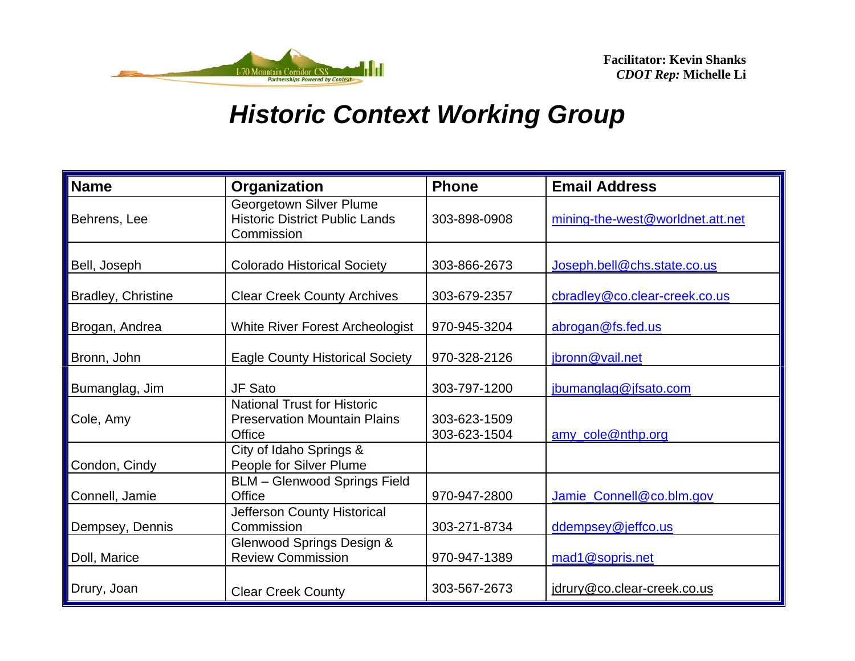

| <b>Name</b>        | Organization                                                                        | <b>Phone</b>                 | <b>Email Address</b>             |
|--------------------|-------------------------------------------------------------------------------------|------------------------------|----------------------------------|
| Behrens, Lee       | Georgetown Silver Plume<br><b>Historic District Public Lands</b><br>Commission      | 303-898-0908                 | mining-the-west@worldnet.att.net |
| Bell, Joseph       | <b>Colorado Historical Society</b>                                                  | 303-866-2673                 | Joseph.bell@chs.state.co.us      |
| Bradley, Christine | <b>Clear Creek County Archives</b>                                                  | 303-679-2357                 | cbradley@co.clear-creek.co.us    |
| Brogan, Andrea     | White River Forest Archeologist                                                     | 970-945-3204                 | abrogan@fs.fed.us                |
| Bronn, John        | <b>Eagle County Historical Society</b>                                              | 970-328-2126                 | jbronn@vail.net                  |
| Bumanglag, Jim     | JF Sato                                                                             | 303-797-1200                 | jbumanglag@jfsato.com            |
| Cole, Amy          | <b>National Trust for Historic</b><br><b>Preservation Mountain Plains</b><br>Office | 303-623-1509<br>303-623-1504 | amy_cole@nthp.org                |
| Condon, Cindy      | City of Idaho Springs &<br>People for Silver Plume                                  |                              |                                  |
| Connell, Jamie     | <b>BLM</b> - Glenwood Springs Field<br>Office                                       | 970-947-2800                 | Jamie_Connell@co.blm.gov         |
| Dempsey, Dennis    | Jefferson County Historical<br>Commission                                           | 303-271-8734                 | ddempsey@jeffco.us               |
| Doll, Marice       | Glenwood Springs Design &<br><b>Review Commission</b>                               | 970-947-1389                 | mad1@sopris.net                  |
| Drury, Joan        | <b>Clear Creek County</b>                                                           | 303-567-2673                 | jdrury@co.clear-creek.co.us      |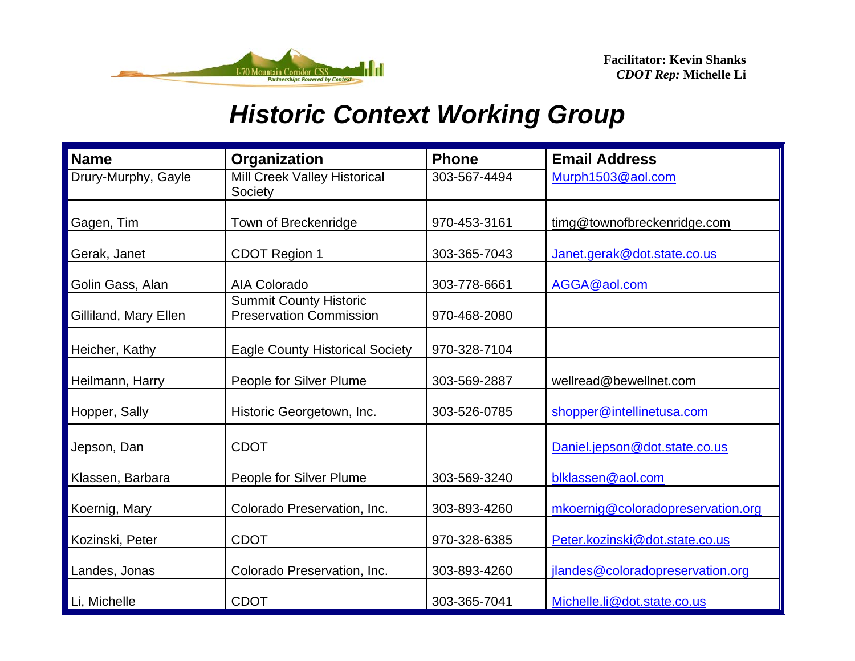

| <b>Name</b>           | Organization                                                    | <b>Phone</b> | <b>Email Address</b>              |
|-----------------------|-----------------------------------------------------------------|--------------|-----------------------------------|
| Drury-Murphy, Gayle   | Mill Creek Valley Historical<br>Society                         | 303-567-4494 | Murph1503@aol.com                 |
| Gagen, Tim            | Town of Breckenridge                                            | 970-453-3161 | timg@townofbreckenridge.com       |
| Gerak, Janet          | <b>CDOT Region 1</b>                                            | 303-365-7043 | Janet.gerak@dot.state.co.us       |
| Golin Gass, Alan      | <b>AIA Colorado</b>                                             | 303-778-6661 | AGGA@aol.com                      |
| Gilliland, Mary Ellen | <b>Summit County Historic</b><br><b>Preservation Commission</b> | 970-468-2080 |                                   |
| Heicher, Kathy        | <b>Eagle County Historical Society</b>                          | 970-328-7104 |                                   |
| Heilmann, Harry       | People for Silver Plume                                         | 303-569-2887 | wellread@bewellnet.com            |
| Hopper, Sally         | Historic Georgetown, Inc.                                       | 303-526-0785 | shopper@intellinetusa.com         |
| Jepson, Dan           | <b>CDOT</b>                                                     |              | Daniel.jepson@dot.state.co.us     |
| Klassen, Barbara      | People for Silver Plume                                         | 303-569-3240 | blklassen@aol.com                 |
| Koernig, Mary         | Colorado Preservation, Inc.                                     | 303-893-4260 | mkoernig@coloradopreservation.org |
| Kozinski, Peter       | <b>CDOT</b>                                                     | 970-328-6385 | Peter.kozinski@dot.state.co.us    |
| Landes, Jonas         | Colorado Preservation, Inc.                                     | 303-893-4260 | jlandes@coloradopreservation.org  |
| Li, Michelle          | <b>CDOT</b>                                                     | 303-365-7041 | Michelle.li@dot.state.co.us       |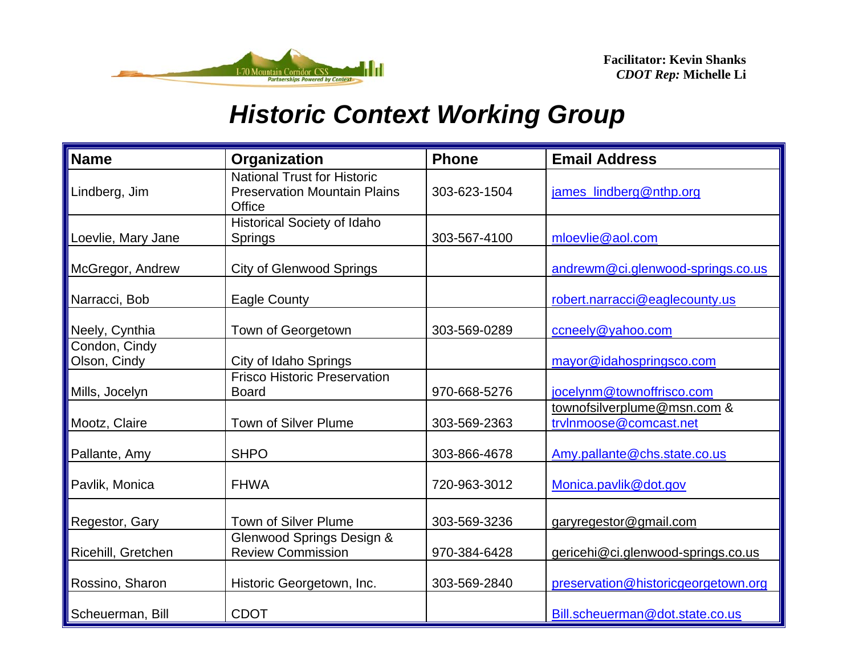

| <b>Name</b>                   | Organization                                                                        | <b>Phone</b> | <b>Email Address</b>                                  |
|-------------------------------|-------------------------------------------------------------------------------------|--------------|-------------------------------------------------------|
| Lindberg, Jim                 | <b>National Trust for Historic</b><br><b>Preservation Mountain Plains</b><br>Office | 303-623-1504 | james_lindberg@nthp.org                               |
| Loevlie, Mary Jane            | Historical Society of Idaho<br>Springs                                              | 303-567-4100 | mloevlie@aol.com                                      |
| McGregor, Andrew              | <b>City of Glenwood Springs</b>                                                     |              | andrewm@ci.glenwood-springs.co.us                     |
| Narracci, Bob                 | <b>Eagle County</b>                                                                 |              | robert.narracci@eaglecounty.us                        |
| Neely, Cynthia                | Town of Georgetown                                                                  | 303-569-0289 | ccneely@yahoo.com                                     |
| Condon, Cindy<br>Olson, Cindy | City of Idaho Springs                                                               |              | mayor@idahospringsco.com                              |
| Mills, Jocelyn                | <b>Frisco Historic Preservation</b><br><b>Board</b>                                 | 970-668-5276 | jocelynm@townoffrisco.com                             |
| Mootz, Claire                 | <b>Town of Silver Plume</b>                                                         | 303-569-2363 | townofsilverplume@msn.com &<br>trvInmoose@comcast.net |
| Pallante, Amy                 | <b>SHPO</b>                                                                         | 303-866-4678 | Amy.pallante@chs.state.co.us                          |
| Pavlik, Monica                | <b>FHWA</b>                                                                         | 720-963-3012 | Monica.pavlik@dot.gov                                 |
| Regestor, Gary                | Town of Silver Plume                                                                | 303-569-3236 | garyregestor@gmail.com                                |
| Ricehill, Gretchen            | Glenwood Springs Design &<br><b>Review Commission</b>                               | 970-384-6428 | gericehi@ci.glenwood-springs.co.us                    |
| Rossino, Sharon               | Historic Georgetown, Inc.                                                           | 303-569-2840 | preservation@historicgeorgetown.org                   |
| Scheuerman, Bill              | <b>CDOT</b>                                                                         |              | Bill.scheuerman@dot.state.co.us                       |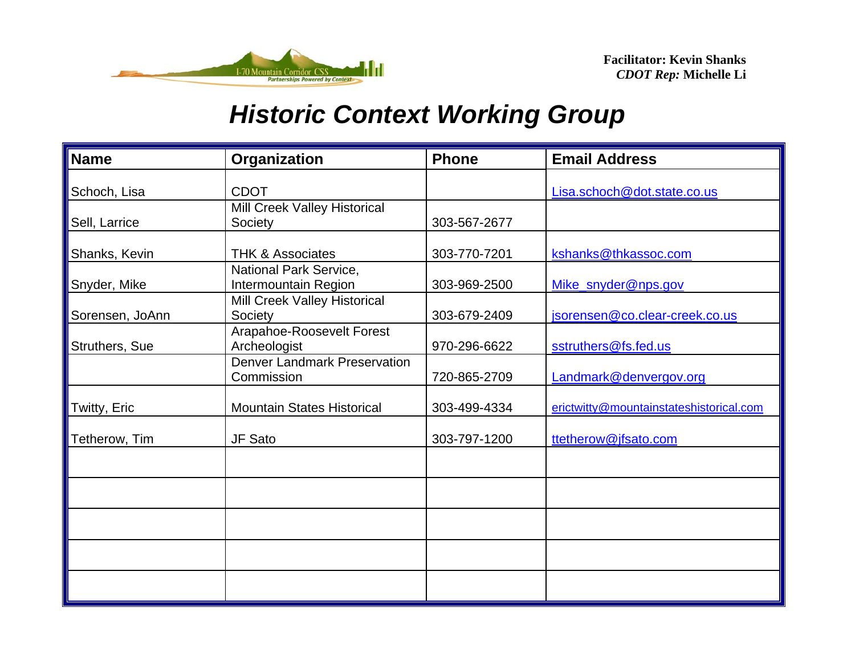

| <b>Name</b>     | Organization                                          | <b>Phone</b> | <b>Email Address</b>                    |
|-----------------|-------------------------------------------------------|--------------|-----------------------------------------|
| Schoch, Lisa    | <b>CDOT</b>                                           |              | Lisa.schoch@dot.state.co.us             |
| Sell, Larrice   | Mill Creek Valley Historical<br>Society               | 303-567-2677 |                                         |
| Shanks, Kevin   | <b>THK &amp; Associates</b>                           | 303-770-7201 | kshanks@thkassoc.com                    |
| Snyder, Mike    | <b>National Park Service,</b><br>Intermountain Region | 303-969-2500 | Mike_snyder@nps.gov                     |
| Sorensen, JoAnn | Mill Creek Valley Historical<br>Society               | 303-679-2409 | jsorensen@co.clear-creek.co.us          |
| Struthers, Sue  | Arapahoe-Roosevelt Forest<br>Archeologist             | 970-296-6622 | sstruthers@fs.fed.us                    |
|                 | <b>Denver Landmark Preservation</b><br>Commission     | 720-865-2709 | Landmark@denvergov.org                  |
| Twitty, Eric    | <b>Mountain States Historical</b>                     | 303-499-4334 | erictwitty@mountainstateshistorical.com |
| Tetherow, Tim   | JF Sato                                               | 303-797-1200 | ttetherow@jfsato.com                    |
|                 |                                                       |              |                                         |
|                 |                                                       |              |                                         |
|                 |                                                       |              |                                         |
|                 |                                                       |              |                                         |
|                 |                                                       |              |                                         |